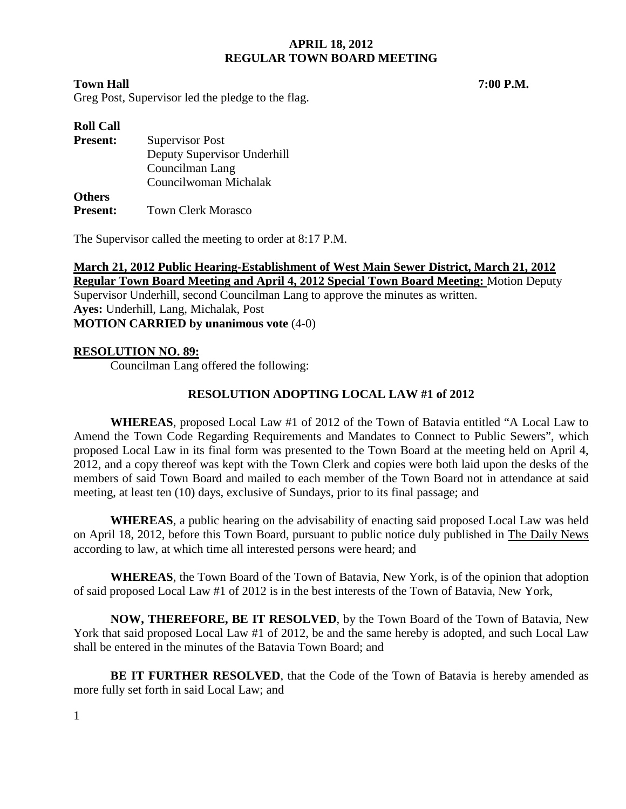#### **Town Hall 7:00 P.M.**

Greg Post, Supervisor led the pledge to the flag.

| <b>Roll Call</b> |                             |
|------------------|-----------------------------|
| <b>Present:</b>  | <b>Supervisor Post</b>      |
|                  | Deputy Supervisor Underhill |
|                  | Councilman Lang             |
|                  | Councilwoman Michalak       |
| <b>Others</b>    |                             |
| <b>Present:</b>  | <b>Town Clerk Morasco</b>   |

The Supervisor called the meeting to order at 8:17 P.M.

**March 21, 2012 Public Hearing-Establishment of West Main Sewer District, March 21, 2012 Regular Town Board Meeting and April 4, 2012 Special Town Board Meeting:** Motion Deputy Supervisor Underhill, second Councilman Lang to approve the minutes as written. **Ayes:** Underhill, Lang, Michalak, Post **MOTION CARRIED by unanimous vote** (4-0)

# **RESOLUTION NO. 89:**

Councilman Lang offered the following:

# **RESOLUTION ADOPTING LOCAL LAW #1 of 2012**

**WHEREAS**, proposed Local Law #1 of 2012 of the Town of Batavia entitled "A Local Law to Amend the Town Code Regarding Requirements and Mandates to Connect to Public Sewers", which proposed Local Law in its final form was presented to the Town Board at the meeting held on April 4, 2012, and a copy thereof was kept with the Town Clerk and copies were both laid upon the desks of the members of said Town Board and mailed to each member of the Town Board not in attendance at said meeting, at least ten (10) days, exclusive of Sundays, prior to its final passage; and

**WHEREAS**, a public hearing on the advisability of enacting said proposed Local Law was held on April 18, 2012, before this Town Board, pursuant to public notice duly published in The Daily News according to law, at which time all interested persons were heard; and

**WHEREAS**, the Town Board of the Town of Batavia, New York, is of the opinion that adoption of said proposed Local Law #1 of 2012 is in the best interests of the Town of Batavia, New York,

**NOW, THEREFORE, BE IT RESOLVED**, by the Town Board of the Town of Batavia, New York that said proposed Local Law #1 of 2012, be and the same hereby is adopted, and such Local Law shall be entered in the minutes of the Batavia Town Board; and

**BE IT FURTHER RESOLVED**, that the Code of the Town of Batavia is hereby amended as more fully set forth in said Local Law; and

1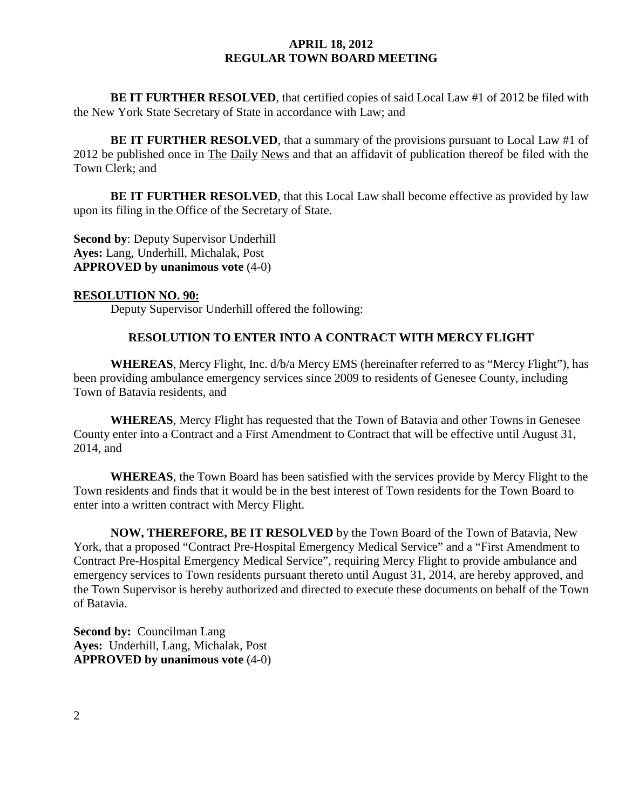**BE IT FURTHER RESOLVED**, that certified copies of said Local Law #1 of 2012 be filed with the New York State Secretary of State in accordance with Law; and

**BE IT FURTHER RESOLVED**, that a summary of the provisions pursuant to Local Law #1 of 2012 be published once in The Daily News and that an affidavit of publication thereof be filed with the Town Clerk; and

**BE IT FURTHER RESOLVED**, that this Local Law shall become effective as provided by law upon its filing in the Office of the Secretary of State.

**Second by**: Deputy Supervisor Underhill **Ayes:** Lang, Underhill, Michalak, Post **APPROVED by unanimous vote** (4-0)

#### **RESOLUTION NO. 90:**

Deputy Supervisor Underhill offered the following:

# **RESOLUTION TO ENTER INTO A CONTRACT WITH MERCY FLIGHT**

**WHEREAS**, Mercy Flight, Inc. d/b/a Mercy EMS (hereinafter referred to as "Mercy Flight"), has been providing ambulance emergency services since 2009 to residents of Genesee County, including Town of Batavia residents, and

**WHEREAS**, Mercy Flight has requested that the Town of Batavia and other Towns in Genesee County enter into a Contract and a First Amendment to Contract that will be effective until August 31, 2014, and

**WHEREAS**, the Town Board has been satisfied with the services provide by Mercy Flight to the Town residents and finds that it would be in the best interest of Town residents for the Town Board to enter into a written contract with Mercy Flight.

**NOW, THEREFORE, BE IT RESOLVED** by the Town Board of the Town of Batavia, New York, that a proposed "Contract Pre-Hospital Emergency Medical Service" and a "First Amendment to Contract Pre-Hospital Emergency Medical Service", requiring Mercy Flight to provide ambulance and emergency services to Town residents pursuant thereto until August 31, 2014, are hereby approved, and the Town Supervisor is hereby authorized and directed to execute these documents on behalf of the Town of Batavia.

**Second by: Councilman Lang Ayes:** Underhill, Lang, Michalak, Post **APPROVED by unanimous vote** (4-0)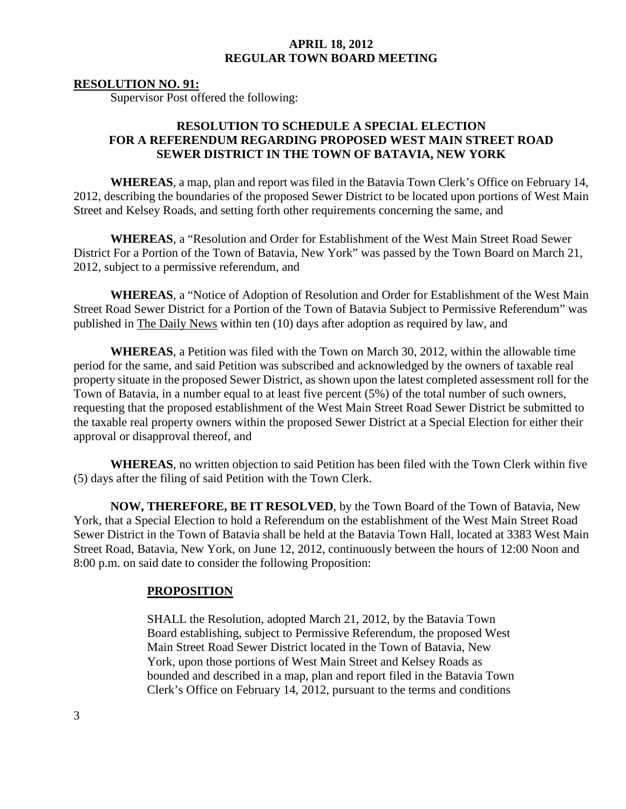#### **RESOLUTION NO. 91:**

Supervisor Post offered the following:

# **RESOLUTION TO SCHEDULE A SPECIAL ELECTION FOR A REFERENDUM REGARDING PROPOSED WEST MAIN STREET ROAD SEWER DISTRICT IN THE TOWN OF BATAVIA, NEW YORK**

**WHEREAS**, a map, plan and report was filed in the Batavia Town Clerk's Office on February 14, 2012, describing the boundaries of the proposed Sewer District to be located upon portions of West Main Street and Kelsey Roads, and setting forth other requirements concerning the same, and

**WHEREAS**, a "Resolution and Order for Establishment of the West Main Street Road Sewer District For a Portion of the Town of Batavia, New York" was passed by the Town Board on March 21, 2012, subject to a permissive referendum, and

**WHEREAS**, a "Notice of Adoption of Resolution and Order for Establishment of the West Main Street Road Sewer District for a Portion of the Town of Batavia Subject to Permissive Referendum" was published in The Daily News within ten (10) days after adoption as required by law, and

**WHEREAS**, a Petition was filed with the Town on March 30, 2012, within the allowable time period for the same, and said Petition was subscribed and acknowledged by the owners of taxable real property situate in the proposed Sewer District, as shown upon the latest completed assessment roll for the Town of Batavia, in a number equal to at least five percent (5%) of the total number of such owners, requesting that the proposed establishment of the West Main Street Road Sewer District be submitted to the taxable real property owners within the proposed Sewer District at a Special Election for either their approval or disapproval thereof, and

**WHEREAS**, no written objection to said Petition has been filed with the Town Clerk within five (5) days after the filing of said Petition with the Town Clerk.

**NOW, THEREFORE, BE IT RESOLVED**, by the Town Board of the Town of Batavia, New York, that a Special Election to hold a Referendum on the establishment of the West Main Street Road Sewer District in the Town of Batavia shall be held at the Batavia Town Hall, located at 3383 West Main Street Road, Batavia, New York, on June 12, 2012, continuously between the hours of 12:00 Noon and 8:00 p.m. on said date to consider the following Proposition:

#### **PROPOSITION**

SHALL the Resolution, adopted March 21, 2012, by the Batavia Town Board establishing, subject to Permissive Referendum, the proposed West Main Street Road Sewer District located in the Town of Batavia, New York, upon those portions of West Main Street and Kelsey Roads as bounded and described in a map, plan and report filed in the Batavia Town Clerk's Office on February 14, 2012, pursuant to the terms and conditions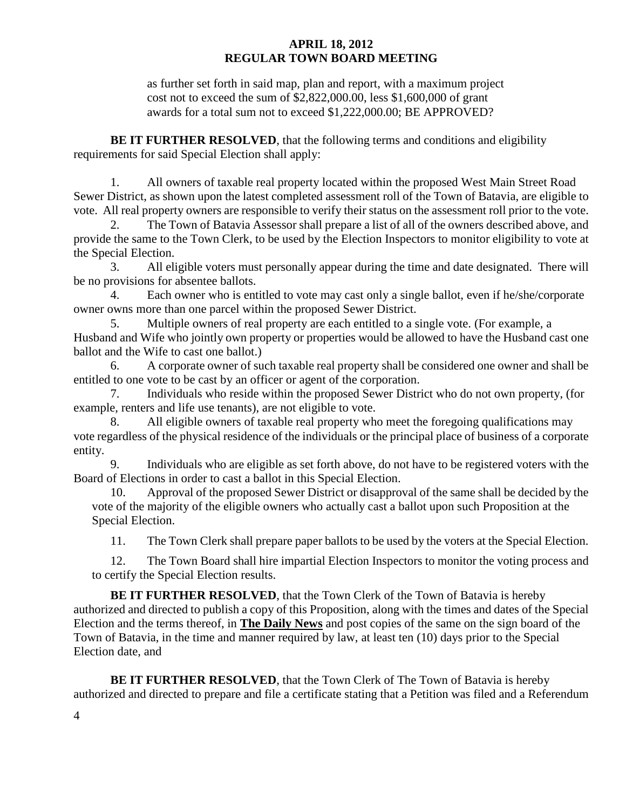as further set forth in said map, plan and report, with a maximum project cost not to exceed the sum of \$2,822,000.00, less \$1,600,000 of grant awards for a total sum not to exceed \$1,222,000.00; BE APPROVED?

**BE IT FURTHER RESOLVED**, that the following terms and conditions and eligibility requirements for said Special Election shall apply:

1. All owners of taxable real property located within the proposed West Main Street Road Sewer District, as shown upon the latest completed assessment roll of the Town of Batavia, are eligible to vote. All real property owners are responsible to verify their status on the assessment roll prior to the vote.

2. The Town of Batavia Assessor shall prepare a list of all of the owners described above, and provide the same to the Town Clerk, to be used by the Election Inspectors to monitor eligibility to vote at the Special Election.

3. All eligible voters must personally appear during the time and date designated. There will be no provisions for absentee ballots.

4. Each owner who is entitled to vote may cast only a single ballot, even if he/she/corporate owner owns more than one parcel within the proposed Sewer District.

5. Multiple owners of real property are each entitled to a single vote. (For example, a Husband and Wife who jointly own property or properties would be allowed to have the Husband cast one ballot and the Wife to cast one ballot.)

6. A corporate owner of such taxable real property shall be considered one owner and shall be entitled to one vote to be cast by an officer or agent of the corporation.

7. Individuals who reside within the proposed Sewer District who do not own property, (for example, renters and life use tenants), are not eligible to vote.

8. All eligible owners of taxable real property who meet the foregoing qualifications may vote regardless of the physical residence of the individuals or the principal place of business of a corporate entity.

9. Individuals who are eligible as set forth above, do not have to be registered voters with the Board of Elections in order to cast a ballot in this Special Election.

10. Approval of the proposed Sewer District or disapproval of the same shall be decided by the vote of the majority of the eligible owners who actually cast a ballot upon such Proposition at the Special Election.

11. The Town Clerk shall prepare paper ballots to be used by the voters at the Special Election.

12. The Town Board shall hire impartial Election Inspectors to monitor the voting process and to certify the Special Election results.

**BE IT FURTHER RESOLVED**, that the Town Clerk of the Town of Batavia is hereby authorized and directed to publish a copy of this Proposition, along with the times and dates of the Special Election and the terms thereof, in **The Daily News** and post copies of the same on the sign board of the Town of Batavia, in the time and manner required by law, at least ten (10) days prior to the Special Election date, and

**BE IT FURTHER RESOLVED**, that the Town Clerk of The Town of Batavia is hereby authorized and directed to prepare and file a certificate stating that a Petition was filed and a Referendum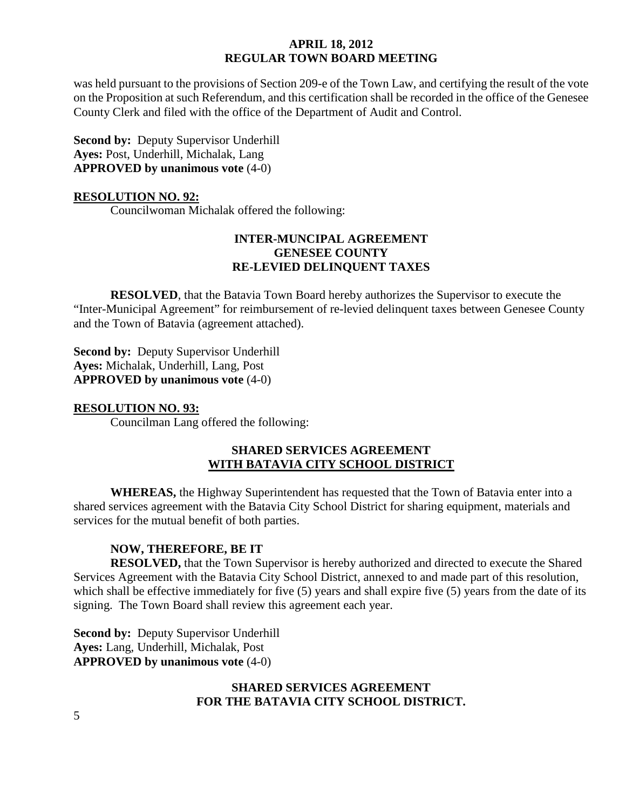was held pursuant to the provisions of Section 209-e of the Town Law, and certifying the result of the vote on the Proposition at such Referendum, and this certification shall be recorded in the office of the Genesee County Clerk and filed with the office of the Department of Audit and Control.

**Second by:** Deputy Supervisor Underhill **Ayes:** Post, Underhill, Michalak, Lang **APPROVED by unanimous vote** (4-0)

#### **RESOLUTION NO. 92:**

Councilwoman Michalak offered the following:

# **INTER-MUNCIPAL AGREEMENT GENESEE COUNTY RE-LEVIED DELINQUENT TAXES**

**RESOLVED**, that the Batavia Town Board hereby authorizes the Supervisor to execute the "Inter-Municipal Agreement" for reimbursement of re-levied delinquent taxes between Genesee County and the Town of Batavia (agreement attached).

**Second by:** Deputy Supervisor Underhill **Ayes:** Michalak, Underhill, Lang, Post **APPROVED by unanimous vote** (4-0)

#### **RESOLUTION NO. 93:**

Councilman Lang offered the following:

# **SHARED SERVICES AGREEMENT WITH BATAVIA CITY SCHOOL DISTRICT**

**WHEREAS,** the Highway Superintendent has requested that the Town of Batavia enter into a shared services agreement with the Batavia City School District for sharing equipment, materials and services for the mutual benefit of both parties.

### **NOW, THEREFORE, BE IT**

**RESOLVED,** that the Town Supervisor is hereby authorized and directed to execute the Shared Services Agreement with the Batavia City School District, annexed to and made part of this resolution, which shall be effective immediately for five (5) years and shall expire five (5) years from the date of its signing. The Town Board shall review this agreement each year.

**Second by: Deputy Supervisor Underhill Ayes:** Lang, Underhill, Michalak, Post **APPROVED by unanimous vote** (4-0)

# **SHARED SERVICES AGREEMENT FOR THE BATAVIA CITY SCHOOL DISTRICT.**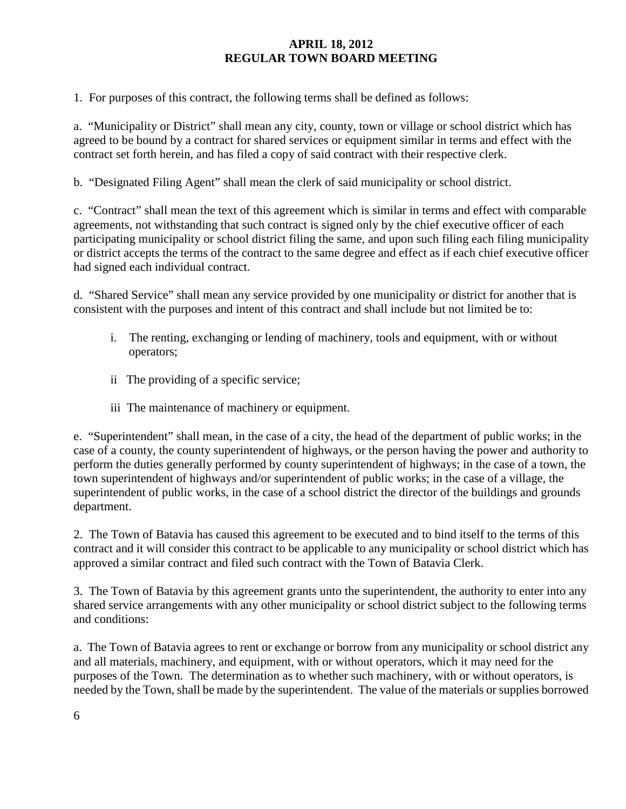1. For purposes of this contract, the following terms shall be defined as follows:

a. "Municipality or District" shall mean any city, county, town or village or school district which has agreed to be bound by a contract for shared services or equipment similar in terms and effect with the contract set forth herein, and has filed a copy of said contract with their respective clerk.

b. "Designated Filing Agent" shall mean the clerk of said municipality or school district.

c. "Contract" shall mean the text of this agreement which is similar in terms and effect with comparable agreements, not withstanding that such contract is signed only by the chief executive officer of each participating municipality or school district filing the same, and upon such filing each filing municipality or district accepts the terms of the contract to the same degree and effect as if each chief executive officer had signed each individual contract.

d. "Shared Service" shall mean any service provided by one municipality or district for another that is consistent with the purposes and intent of this contract and shall include but not limited be to:

- i. The renting, exchanging or lending of machinery, tools and equipment, with or without operators;
- ii The providing of a specific service;
- iii The maintenance of machinery or equipment.

e. "Superintendent" shall mean, in the case of a city, the head of the department of public works; in the case of a county, the county superintendent of highways, or the person having the power and authority to perform the duties generally performed by county superintendent of highways; in the case of a town, the town superintendent of highways and/or superintendent of public works; in the case of a village, the superintendent of public works, in the case of a school district the director of the buildings and grounds department.

2. The Town of Batavia has caused this agreement to be executed and to bind itself to the terms of this contract and it will consider this contract to be applicable to any municipality or school district which has approved a similar contract and filed such contract with the Town of Batavia Clerk.

3. The Town of Batavia by this agreement grants unto the superintendent, the authority to enter into any shared service arrangements with any other municipality or school district subject to the following terms and conditions:

a. The Town of Batavia agrees to rent or exchange or borrow from any municipality or school district any and all materials, machinery, and equipment, with or without operators, which it may need for the purposes of the Town. The determination as to whether such machinery, with or without operators, is needed by the Town, shall be made by the superintendent. The value of the materials or supplies borrowed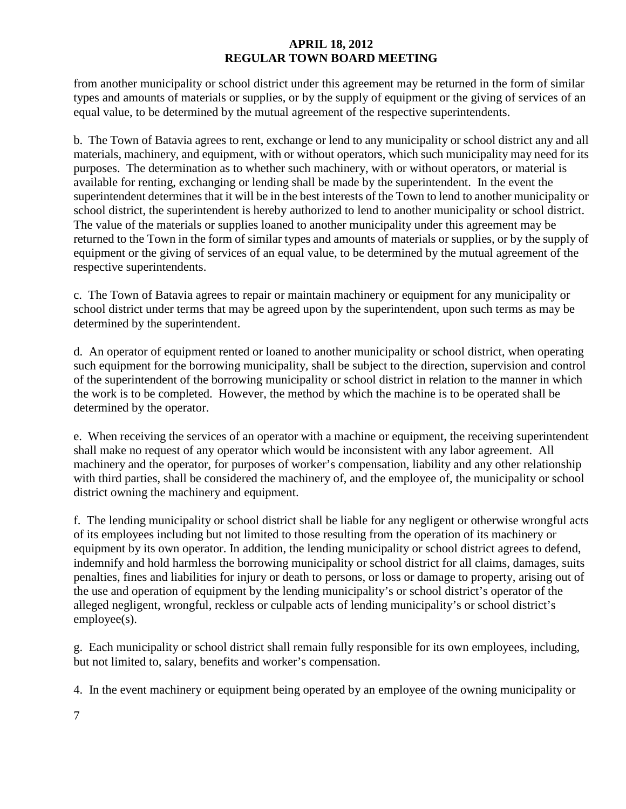from another municipality or school district under this agreement may be returned in the form of similar types and amounts of materials or supplies, or by the supply of equipment or the giving of services of an equal value, to be determined by the mutual agreement of the respective superintendents.

b. The Town of Batavia agrees to rent, exchange or lend to any municipality or school district any and all materials, machinery, and equipment, with or without operators, which such municipality may need for its purposes. The determination as to whether such machinery, with or without operators, or material is available for renting, exchanging or lending shall be made by the superintendent. In the event the superintendent determines that it will be in the best interests of the Town to lend to another municipality or school district, the superintendent is hereby authorized to lend to another municipality or school district. The value of the materials or supplies loaned to another municipality under this agreement may be returned to the Town in the form of similar types and amounts of materials or supplies, or by the supply of equipment or the giving of services of an equal value, to be determined by the mutual agreement of the respective superintendents.

c. The Town of Batavia agrees to repair or maintain machinery or equipment for any municipality or school district under terms that may be agreed upon by the superintendent, upon such terms as may be determined by the superintendent.

d. An operator of equipment rented or loaned to another municipality or school district, when operating such equipment for the borrowing municipality, shall be subject to the direction, supervision and control of the superintendent of the borrowing municipality or school district in relation to the manner in which the work is to be completed. However, the method by which the machine is to be operated shall be determined by the operator.

e. When receiving the services of an operator with a machine or equipment, the receiving superintendent shall make no request of any operator which would be inconsistent with any labor agreement. All machinery and the operator, for purposes of worker's compensation, liability and any other relationship with third parties, shall be considered the machinery of, and the employee of, the municipality or school district owning the machinery and equipment.

f. The lending municipality or school district shall be liable for any negligent or otherwise wrongful acts of its employees including but not limited to those resulting from the operation of its machinery or equipment by its own operator. In addition, the lending municipality or school district agrees to defend, indemnify and hold harmless the borrowing municipality or school district for all claims, damages, suits penalties, fines and liabilities for injury or death to persons, or loss or damage to property, arising out of the use and operation of equipment by the lending municipality's or school district's operator of the alleged negligent, wrongful, reckless or culpable acts of lending municipality's or school district's employee(s).

g. Each municipality or school district shall remain fully responsible for its own employees, including, but not limited to, salary, benefits and worker's compensation.

4. In the event machinery or equipment being operated by an employee of the owning municipality or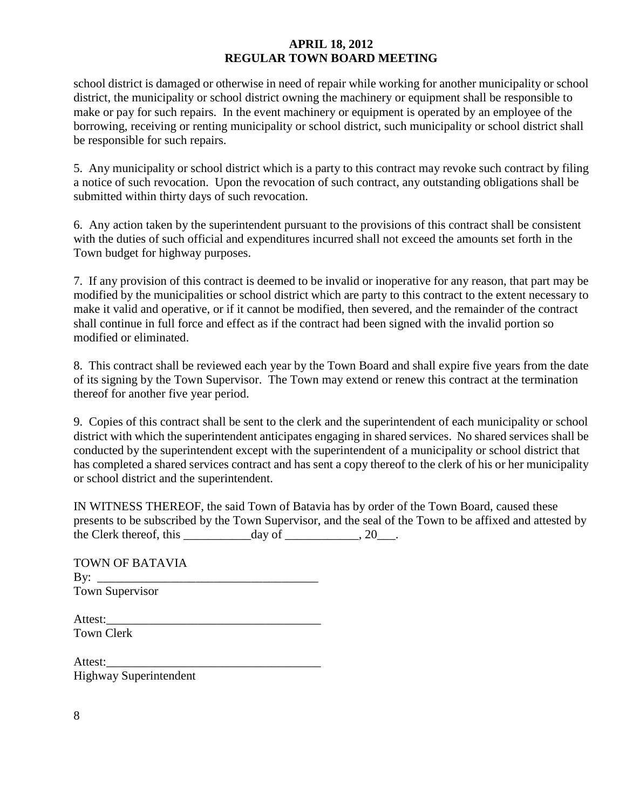school district is damaged or otherwise in need of repair while working for another municipality or school district, the municipality or school district owning the machinery or equipment shall be responsible to make or pay for such repairs. In the event machinery or equipment is operated by an employee of the borrowing, receiving or renting municipality or school district, such municipality or school district shall be responsible for such repairs.

5. Any municipality or school district which is a party to this contract may revoke such contract by filing a notice of such revocation. Upon the revocation of such contract, any outstanding obligations shall be submitted within thirty days of such revocation.

6. Any action taken by the superintendent pursuant to the provisions of this contract shall be consistent with the duties of such official and expenditures incurred shall not exceed the amounts set forth in the Town budget for highway purposes.

7. If any provision of this contract is deemed to be invalid or inoperative for any reason, that part may be modified by the municipalities or school district which are party to this contract to the extent necessary to make it valid and operative, or if it cannot be modified, then severed, and the remainder of the contract shall continue in full force and effect as if the contract had been signed with the invalid portion so modified or eliminated.

8. This contract shall be reviewed each year by the Town Board and shall expire five years from the date of its signing by the Town Supervisor. The Town may extend or renew this contract at the termination thereof for another five year period.

9. Copies of this contract shall be sent to the clerk and the superintendent of each municipality or school district with which the superintendent anticipates engaging in shared services. No shared services shall be conducted by the superintendent except with the superintendent of a municipality or school district that has completed a shared services contract and has sent a copy thereof to the clerk of his or her municipality or school district and the superintendent.

IN WITNESS THEREOF, the said Town of Batavia has by order of the Town Board, caused these presents to be subscribed by the Town Supervisor, and the seal of the Town to be affixed and attested by the Clerk thereof, this day of  $\qquad \qquad$  20.

| TOWN OF BATAVIA        |  |
|------------------------|--|
|                        |  |
| <b>Town Supervisor</b> |  |
|                        |  |

Attest: Town Clerk

Attest: Highway Superintendent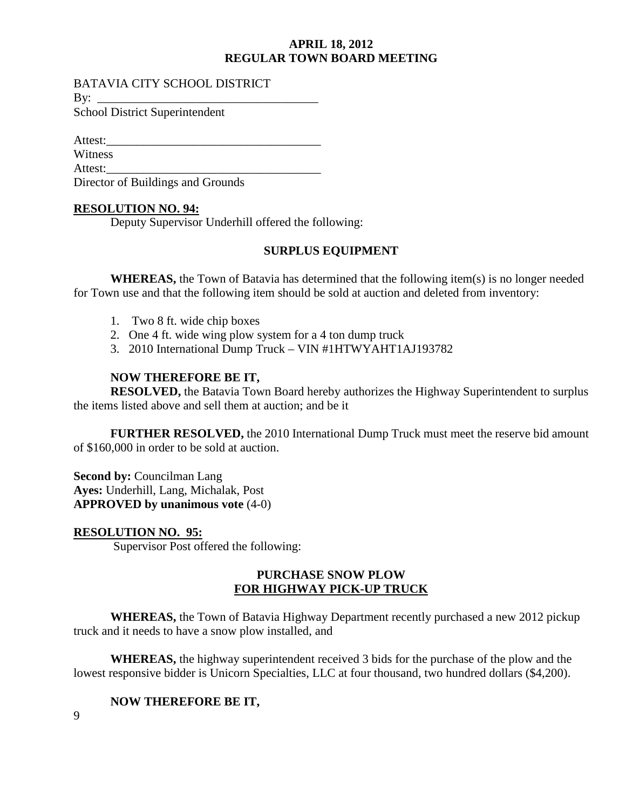#### BATAVIA CITY SCHOOL DISTRICT

By: \_\_\_\_\_\_\_\_\_\_\_\_\_\_\_\_\_\_\_\_\_\_\_\_\_\_\_\_\_\_\_\_\_\_\_\_

School District Superintendent

Attest:

Witness

Attest:

Director of Buildings and Grounds

# **RESOLUTION NO. 94:**

Deputy Supervisor Underhill offered the following:

# **SURPLUS EQUIPMENT**

**WHEREAS,** the Town of Batavia has determined that the following item(s) is no longer needed for Town use and that the following item should be sold at auction and deleted from inventory:

- 1. Two 8 ft. wide chip boxes
- 2. One 4 ft. wide wing plow system for a 4 ton dump truck
- 3. 2010 International Dump Truck VIN #1HTWYAHT1AJ193782

# **NOW THEREFORE BE IT,**

**RESOLVED,** the Batavia Town Board hereby authorizes the Highway Superintendent to surplus the items listed above and sell them at auction; and be it

**FURTHER RESOLVED,** the 2010 International Dump Truck must meet the reserve bid amount of \$160,000 in order to be sold at auction.

**Second by: Councilman Lang Ayes:** Underhill, Lang, Michalak, Post **APPROVED by unanimous vote** (4-0)

# **RESOLUTION NO. 95:**

Supervisor Post offered the following:

### **PURCHASE SNOW PLOW FOR HIGHWAY PICK-UP TRUCK**

**WHEREAS,** the Town of Batavia Highway Department recently purchased a new 2012 pickup truck and it needs to have a snow plow installed, and

**WHEREAS,** the highway superintendent received 3 bids for the purchase of the plow and the lowest responsive bidder is Unicorn Specialties, LLC at four thousand, two hundred dollars (\$4,200).

# **NOW THEREFORE BE IT,**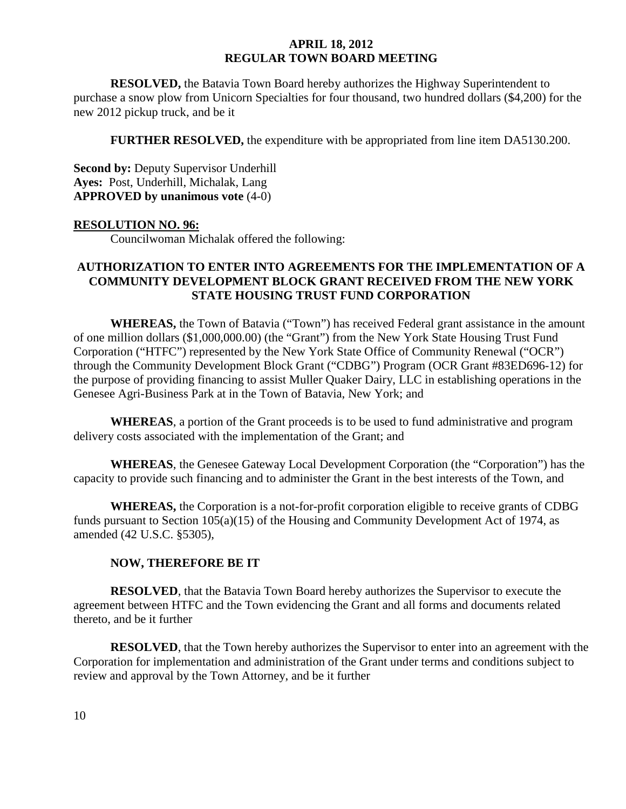**RESOLVED,** the Batavia Town Board hereby authorizes the Highway Superintendent to purchase a snow plow from Unicorn Specialties for four thousand, two hundred dollars (\$4,200) for the new 2012 pickup truck, and be it

**FURTHER RESOLVED,** the expenditure with be appropriated from line item DA5130.200.

**Second by:** Deputy Supervisor Underhill **Ayes:** Post, Underhill, Michalak, Lang **APPROVED by unanimous vote** (4-0)

#### **RESOLUTION NO. 96:**

Councilwoman Michalak offered the following:

# **AUTHORIZATION TO ENTER INTO AGREEMENTS FOR THE IMPLEMENTATION OF A COMMUNITY DEVELOPMENT BLOCK GRANT RECEIVED FROM THE NEW YORK STATE HOUSING TRUST FUND CORPORATION**

**WHEREAS,** the Town of Batavia ("Town") has received Federal grant assistance in the amount of one million dollars (\$1,000,000.00) (the "Grant") from the New York State Housing Trust Fund Corporation ("HTFC") represented by the New York State Office of Community Renewal ("OCR") through the Community Development Block Grant ("CDBG") Program (OCR Grant #83ED696-12) for the purpose of providing financing to assist Muller Quaker Dairy, LLC in establishing operations in the Genesee Agri-Business Park at in the Town of Batavia, New York; and

**WHEREAS**, a portion of the Grant proceeds is to be used to fund administrative and program delivery costs associated with the implementation of the Grant; and

**WHEREAS**, the Genesee Gateway Local Development Corporation (the "Corporation") has the capacity to provide such financing and to administer the Grant in the best interests of the Town, and

**WHEREAS,** the Corporation is a not-for-profit corporation eligible to receive grants of CDBG funds pursuant to Section 105(a)(15) of the Housing and Community Development Act of 1974, as amended (42 U.S.C. §5305),

#### **NOW, THEREFORE BE IT**

**RESOLVED**, that the Batavia Town Board hereby authorizes the Supervisor to execute the agreement between HTFC and the Town evidencing the Grant and all forms and documents related thereto, and be it further

**RESOLVED**, that the Town hereby authorizes the Supervisor to enter into an agreement with the Corporation for implementation and administration of the Grant under terms and conditions subject to review and approval by the Town Attorney, and be it further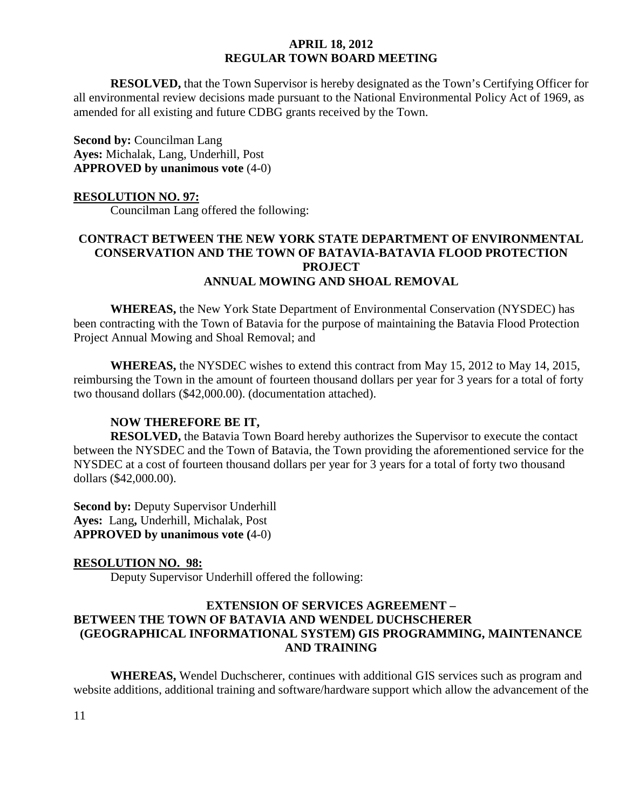**RESOLVED,** that the Town Supervisor is hereby designated as the Town's Certifying Officer for all environmental review decisions made pursuant to the National Environmental Policy Act of 1969, as amended for all existing and future CDBG grants received by the Town.

**Second by:** Councilman Lang **Ayes:** Michalak, Lang, Underhill, Post **APPROVED by unanimous vote** (4-0)

#### **RESOLUTION NO. 97:**

Councilman Lang offered the following:

# **CONTRACT BETWEEN THE NEW YORK STATE DEPARTMENT OF ENVIRONMENTAL CONSERVATION AND THE TOWN OF BATAVIA-BATAVIA FLOOD PROTECTION PROJECT ANNUAL MOWING AND SHOAL REMOVAL**

**WHEREAS,** the New York State Department of Environmental Conservation (NYSDEC) has been contracting with the Town of Batavia for the purpose of maintaining the Batavia Flood Protection Project Annual Mowing and Shoal Removal; and

**WHEREAS,** the NYSDEC wishes to extend this contract from May 15, 2012 to May 14, 2015, reimbursing the Town in the amount of fourteen thousand dollars per year for 3 years for a total of forty two thousand dollars (\$42,000.00). (documentation attached).

#### **NOW THEREFORE BE IT,**

**RESOLVED,** the Batavia Town Board hereby authorizes the Supervisor to execute the contact between the NYSDEC and the Town of Batavia, the Town providing the aforementioned service for the NYSDEC at a cost of fourteen thousand dollars per year for 3 years for a total of forty two thousand dollars (\$42,000.00).

**Second by: Deputy Supervisor Underhill Ayes:** Lang**,** Underhill, Michalak, Post **APPROVED by unanimous vote (**4-0)

#### **RESOLUTION NO. 98:**

Deputy Supervisor Underhill offered the following:

# **EXTENSION OF SERVICES AGREEMENT – BETWEEN THE TOWN OF BATAVIA AND WENDEL DUCHSCHERER (GEOGRAPHICAL INFORMATIONAL SYSTEM) GIS PROGRAMMING, MAINTENANCE AND TRAINING**

**WHEREAS,** Wendel Duchscherer, continues with additional GIS services such as program and website additions, additional training and software/hardware support which allow the advancement of the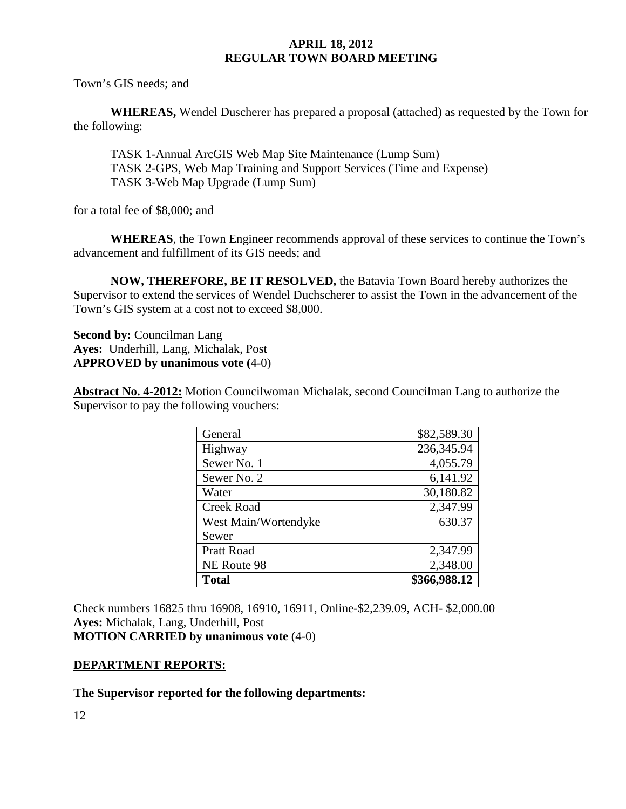Town's GIS needs; and

**WHEREAS,** Wendel Duscherer has prepared a proposal (attached) as requested by the Town for the following:

TASK 1-Annual ArcGIS Web Map Site Maintenance (Lump Sum) TASK 2-GPS, Web Map Training and Support Services (Time and Expense) TASK 3-Web Map Upgrade (Lump Sum)

for a total fee of \$8,000; and

**WHEREAS**, the Town Engineer recommends approval of these services to continue the Town's advancement and fulfillment of its GIS needs; and

**NOW, THEREFORE, BE IT RESOLVED,** the Batavia Town Board hereby authorizes the Supervisor to extend the services of Wendel Duchscherer to assist the Town in the advancement of the Town's GIS system at a cost not to exceed \$8,000.

**Second by: Councilman Lang Ayes:** Underhill, Lang, Michalak, Post **APPROVED by unanimous vote (**4-0)

**Abstract No. 4-2012:** Motion Councilwoman Michalak, second Councilman Lang to authorize the Supervisor to pay the following vouchers:

| General              | \$82,589.30  |
|----------------------|--------------|
| Highway              | 236,345.94   |
| Sewer No. 1          | 4,055.79     |
| Sewer No. 2          | 6,141.92     |
| Water                | 30,180.82    |
| <b>Creek Road</b>    | 2,347.99     |
| West Main/Wortendyke | 630.37       |
| Sewer                |              |
| <b>Pratt Road</b>    | 2,347.99     |
| NE Route 98          | 2,348.00     |
| <b>Total</b>         | \$366,988.12 |

Check numbers 16825 thru 16908, 16910, 16911, Online-\$2,239.09, ACH- \$2,000.00 **Ayes:** Michalak, Lang, Underhill, Post **MOTION CARRIED by unanimous vote** (4-0)

### **DEPARTMENT REPORTS:**

**The Supervisor reported for the following departments:**

12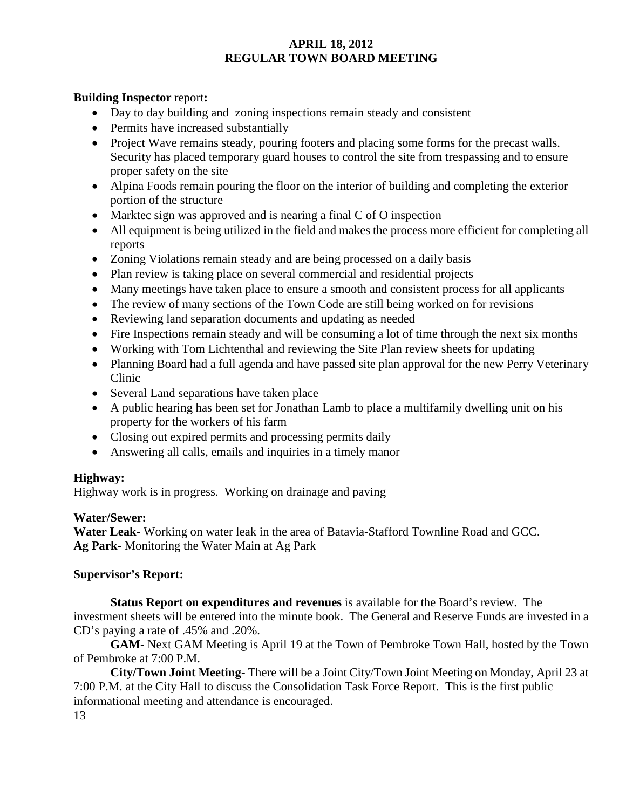# **Building Inspector** report**:**

- Day to day building and zoning inspections remain steady and consistent
- Permits have increased substantially
- Project Wave remains steady, pouring footers and placing some forms for the precast walls. Security has placed temporary guard houses to control the site from trespassing and to ensure proper safety on the site
- Alpina Foods remain pouring the floor on the interior of building and completing the exterior portion of the structure
- Marktec sign was approved and is nearing a final C of O inspection
- All equipment is being utilized in the field and makes the process more efficient for completing all reports
- Zoning Violations remain steady and are being processed on a daily basis
- Plan review is taking place on several commercial and residential projects
- Many meetings have taken place to ensure a smooth and consistent process for all applicants
- The review of many sections of the Town Code are still being worked on for revisions
- Reviewing land separation documents and updating as needed
- Fire Inspections remain steady and will be consuming a lot of time through the next six months
- Working with Tom Lichtenthal and reviewing the Site Plan review sheets for updating
- Planning Board had a full agenda and have passed site plan approval for the new Perry Veterinary Clinic
- Several Land separations have taken place
- A public hearing has been set for Jonathan Lamb to place a multifamily dwelling unit on his property for the workers of his farm
- Closing out expired permits and processing permits daily
- Answering all calls, emails and inquiries in a timely manor

### **Highway:**

Highway work is in progress. Working on drainage and paving

### **Water/Sewer:**

**Water Leak**- Working on water leak in the area of Batavia-Stafford Townline Road and GCC. **Ag Park**- Monitoring the Water Main at Ag Park

### **Supervisor's Report:**

**Status Report on expenditures and revenues** is available for the Board's review. The investment sheets will be entered into the minute book. The General and Reserve Funds are invested in a CD's paying a rate of .45% and .20%.

**GAM-** Next GAM Meeting is April 19 at the Town of Pembroke Town Hall, hosted by the Town of Pembroke at 7:00 P.M.

**City/Town Joint Meeting**- There will be a Joint City/Town Joint Meeting on Monday, April 23 at 7:00 P.M. at the City Hall to discuss the Consolidation Task Force Report. This is the first public informational meeting and attendance is encouraged.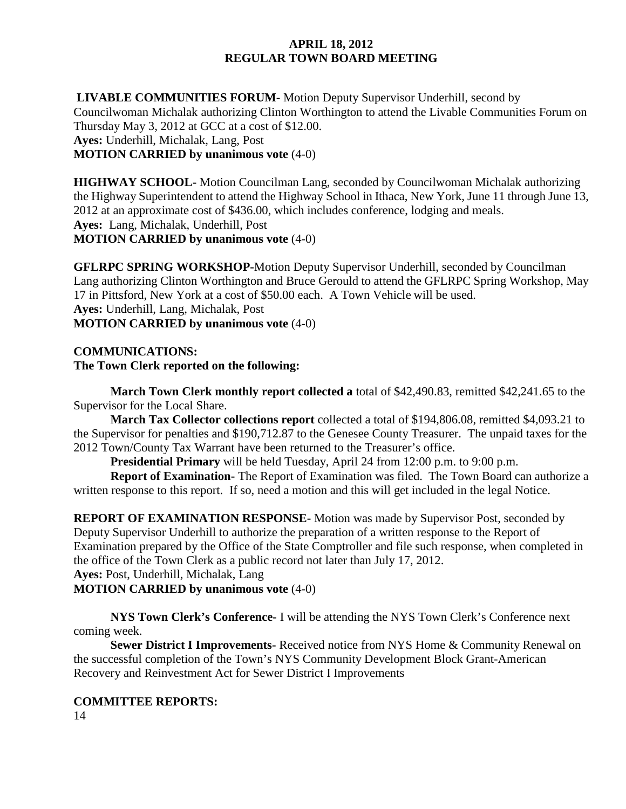**LIVABLE COMMUNITIES FORUM-** Motion Deputy Supervisor Underhill, second by Councilwoman Michalak authorizing Clinton Worthington to attend the Livable Communities Forum on Thursday May 3, 2012 at GCC at a cost of \$12.00. **Ayes:** Underhill, Michalak, Lang, Post **MOTION CARRIED by unanimous vote** (4-0)

**HIGHWAY SCHOOL-** Motion Councilman Lang, seconded by Councilwoman Michalak authorizing the Highway Superintendent to attend the Highway School in Ithaca, New York, June 11 through June 13, 2012 at an approximate cost of \$436.00, which includes conference, lodging and meals. **Ayes:** Lang, Michalak, Underhill, Post **MOTION CARRIED by unanimous vote** (4-0)

**GFLRPC SPRING WORKSHOP-**Motion Deputy Supervisor Underhill, seconded by Councilman Lang authorizing Clinton Worthington and Bruce Gerould to attend the GFLRPC Spring Workshop, May 17 in Pittsford, New York at a cost of \$50.00 each. A Town Vehicle will be used. **Ayes:** Underhill, Lang, Michalak, Post **MOTION CARRIED by unanimous vote** (4-0)

# **COMMUNICATIONS: The Town Clerk reported on the following:**

**March Town Clerk monthly report collected a** total of \$42,490.83, remitted \$42,241.65 to the Supervisor for the Local Share.

**March Tax Collector collections report** collected a total of \$194,806.08, remitted \$4,093.21 to the Supervisor for penalties and \$190,712.87 to the Genesee County Treasurer. The unpaid taxes for the 2012 Town/County Tax Warrant have been returned to the Treasurer's office.

**Presidential Primary** will be held Tuesday, April 24 from 12:00 p.m. to 9:00 p.m.

**Report of Examination-** The Report of Examination was filed. The Town Board can authorize a written response to this report. If so, need a motion and this will get included in the legal Notice.

**REPORT OF EXAMINATION RESPONSE-** Motion was made by Supervisor Post, seconded by Deputy Supervisor Underhill to authorize the preparation of a written response to the Report of Examination prepared by the Office of the State Comptroller and file such response, when completed in the office of the Town Clerk as a public record not later than July 17, 2012.

**Ayes:** Post, Underhill, Michalak, Lang

**MOTION CARRIED by unanimous vote** (4-0)

**NYS Town Clerk's Conference-** I will be attending the NYS Town Clerk's Conference next coming week.

**Sewer District I Improvements-** Received notice from NYS Home & Community Renewal on the successful completion of the Town's NYS Community Development Block Grant-American Recovery and Reinvestment Act for Sewer District I Improvements

# **COMMITTEE REPORTS:**

14